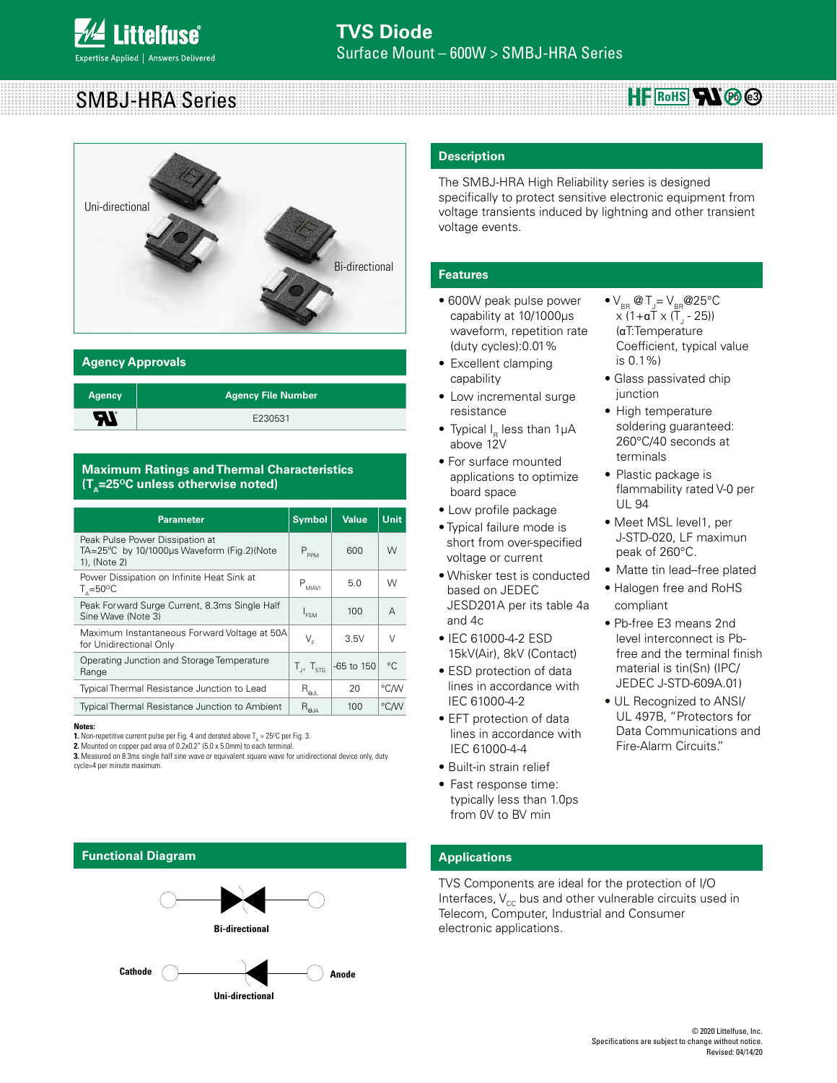# SMBJ-HRA Series  $HF$  RoHS**AN**  $\otimes$   $\otimes$



### **Agency Approvals**

| <b>Agency</b> | <b>Agency File Number</b> |
|---------------|---------------------------|
| H             | E230531                   |

### **Maximum Ratings and Thermal Characteristics (T<sub>n</sub>=25<sup>o</sup>C unless otherwise noted)**

| <b>Parameter</b>                                                                              | <b>Symbol</b>                             | <b>Value</b> | <b>Unit</b> |
|-----------------------------------------------------------------------------------------------|-------------------------------------------|--------------|-------------|
| Peak Pulse Power Dissipation at<br>TA=25°C by 10/1000us Waveform (Fig.2)(Note<br>1), (Note 2) | $P_{PPM}$                                 | 600          | W           |
| Power Dissipation on Infinite Heat Sink at<br>$T_{0} = 50^{\circ}$ C                          | $P_{_{\text{MAVA}}}$                      | 5.0          | W           |
| Peak Forward Surge Current, 8.3ms Single Half<br>Sine Wave (Note 3)                           | I <sub>ESM</sub>                          | 100          | A           |
| Maximum Instantaneous Forward Voltage at 50A<br>for Unidirectional Only                       | V.                                        | 3.5V         | $\vee$      |
| Operating Junction and Storage Temperature<br>Range                                           | $T_{1}$ , $T_{\text{str}}$                | -65 to 150   | $^{\circ}C$ |
| Typical Thermal Resistance Junction to Lead                                                   | $\mathsf{R}_{\mathsf{\Theta\mathsf{JL}}}$ | 20           | °CM         |
| <b>Typical Thermal Resistance Junction to Ambient</b>                                         | $R_{\Theta \underline{\mathsf{A}}}$       | 100          | °C/W        |

**Notes:**

**1.** Non-repetitive current pulse per Fig. 4 and derated above  $T_{\text{\tiny A}}$  = 25<sup>o</sup>C per Fig. 3.

**2.** Mounted on copper pad area of 0.2x0.2" (5.0 x 5.0mm) to each terminal.

**3.** Measured on 8.3ms single half sine wave or equivalent square wave for unidirectional device only, duty cycle=4 per minute maximum.

# **Functional Diagram**



### **Description**

The SMBJ-HRA High Reliability series is designed specifically to protect sensitive electronic equipment from voltage transients induced by lightning and other transient voltage events.

#### **Features**

- 600W peak pulse power capability at 10/1000μs waveform, repetition rate (duty cycles):0.01%
- Excellent clamping capability
- Low incremental surge resistance
- Typical  $I_R$  less than 1µA above 12V
- For surface mounted applications to optimize board space
- Low profile package
- Typical failure mode is short from over-specified voltage or current
- Whisker test is conducted based on JEDEC JESD201A per its table 4a and 4c
- IEC 61000-4-2 ESD 15kV(Air), 8kV (Contact)
- ESD protection of data lines in accordance with IEC 61000-4-2
- EFT protection of data lines in accordance with IEC 61000-4-4
- Built-in strain relief
- Fast response time: typically less than 1.0ps from 0V to BV min
- $\bullet$  V<sub>BR</sub> @ T<sub>J</sub>= V<sub>BR</sub> @ 25°C x (1+αT x (T<sub>J</sub> - 25)) (αT:Temperature Coefficient, typical value is 0.1%)
- Glass passivated chip iunction
- High temperature soldering guaranteed: 260°C/40 seconds at terminals
- Plastic package is flammability rated V-0 per UL 94
- Meet MSL level1, per J-STD-020, LF maximun peak of 260°C.
- Matte tin lead–free plated
- Halogen free and RoHS compliant
- Pb-free E3 means 2nd level interconnect is Pbfree and the terminal finish material is tin(Sn) (IPC/ JEDEC J-STD-609A.01)
- UL Recognized to ANSI/ UL 497B, "Protectors for Data Communications and Fire-Alarm Circuits."

# **Applications**

TVS Components are ideal for the protection of I/O Interfaces,  $V_{cc}$  bus and other vulnerable circuits used in Telecom, Computer, Industrial and Consumer electronic applications.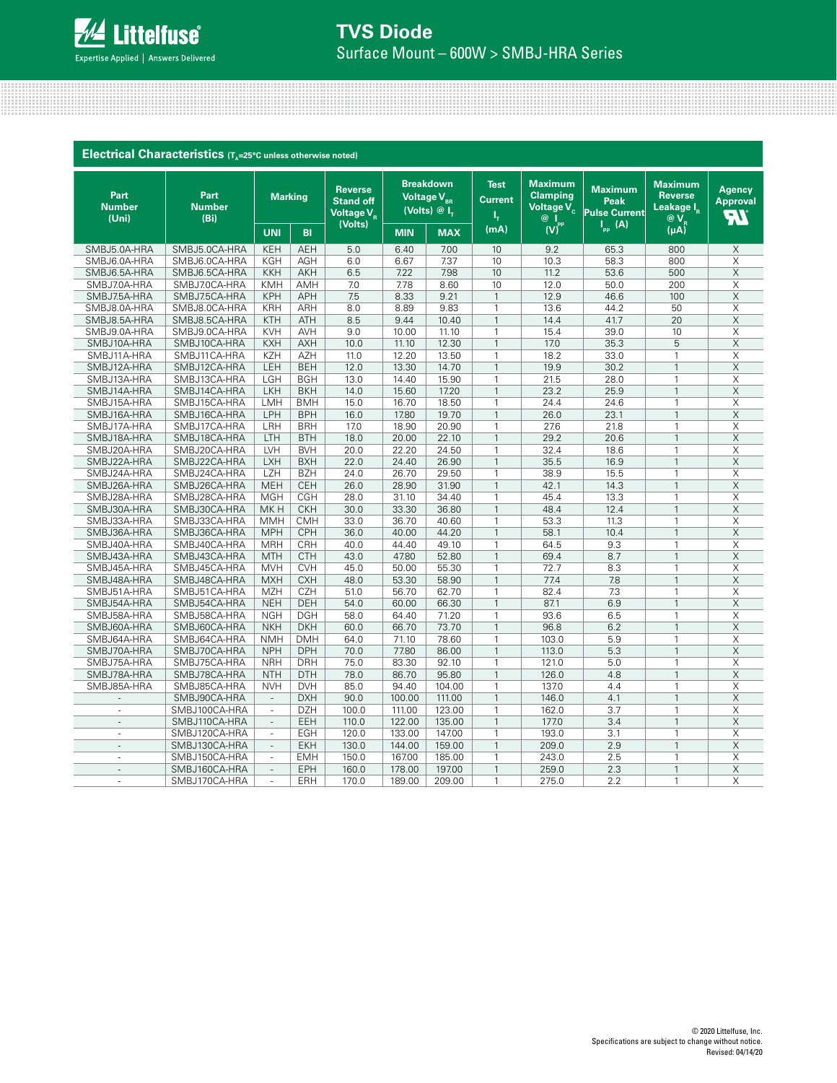

|                                | Electrical Characteristics (T <sub>a</sub> =25°C unless otherwise noted) |                          |            |                                                              |            |                                                                 |                               |                                                                    |                                                       |                                                                   |                                 |
|--------------------------------|--------------------------------------------------------------------------|--------------------------|------------|--------------------------------------------------------------|------------|-----------------------------------------------------------------|-------------------------------|--------------------------------------------------------------------|-------------------------------------------------------|-------------------------------------------------------------------|---------------------------------|
| Part<br><b>Number</b><br>(Uni) | Part<br><b>Number</b><br>(B <sub>i</sub> )                               | <b>Marking</b>           |            | <b>Reverse</b><br><b>Stand off</b><br>Voltage V <sub>R</sub> |            | <b>Breakdown</b><br>Voltage V <sub>BR</sub><br>(Volts) $@I_{r}$ | <b>Test</b><br><b>Current</b> | <b>Maximum</b><br><b>Clamping</b><br>Voltage V <sub>c</sub><br>@ ∣ | <b>Maximum</b><br><b>Peak</b><br><b>Pulse Current</b> | <b>Maximum</b><br><b>Reverse</b><br>Leakage I <sub>R</sub><br>@ V | Agency<br><b>Approval</b><br>7V |
|                                |                                                                          | <b>UNI</b>               | <b>BI</b>  | (Volts)                                                      | <b>MIN</b> | <b>MAX</b>                                                      | (mA)                          | $\bigwedge^{\text{pp}}$                                            | $\mathsf{I}_{\mathsf{pp}}$ (A)                        | (uA)                                                              |                                 |
| SMBJ5.0A-HRA                   | SMBJ5.0CA-HRA                                                            | <b>KEH</b>               | <b>AEH</b> | 5.0                                                          | 6.40       | 7.00                                                            | 10                            | 9.2                                                                | 65.3                                                  | 800                                                               | X                               |
| SMBJ6.0A-HRA                   | SMBJ6.0CA-HRA                                                            | <b>KGH</b>               | <b>AGH</b> | 6.0                                                          | 6.67       | 7.37                                                            | 10                            | 10.3                                                               | 58.3                                                  | 800                                                               | X                               |
| SMBJ6.5A-HRA                   | SMBJ6.5CA-HRA                                                            | <b>KKH</b>               | <b>AKH</b> | 6.5                                                          | 7.22       | 7.98                                                            | 10                            | 11.2                                                               | 53.6                                                  | 500                                                               | $\times$                        |
| SMBJ7.0A-HRA                   | SMBJ7.0CA-HRA                                                            | <b>KMH</b>               | AMH        | 7.0                                                          | 7.78       | 8.60                                                            | 10                            | 12.0                                                               | 50.0                                                  | 200                                                               | $\times$                        |
| SMBJ7.5A-HRA                   | SMBJ7.5CA-HRA                                                            | <b>KPH</b>               | <b>APH</b> | 7.5                                                          | 8.33       | 9.21                                                            | $\mathbf{1}$                  | 12.9                                                               | 46.6                                                  | 100                                                               | $\mathsf X$                     |
| SMBJ8.0A-HRA                   | SMBJ8.0CA-HRA                                                            | <b>KRH</b>               | ARH        | 8.0                                                          | 8.89       | 9.83                                                            | $\mathbf{1}$                  | 13.6                                                               | 44.2                                                  | 50                                                                | $\times$                        |
| SMBJ8.5A-HRA                   | SMBJ8.5CA-HRA                                                            | <b>KTH</b>               | <b>ATH</b> | 8.5                                                          | 9.44       | 10.40                                                           | $\mathbf{1}$                  | 14.4                                                               | 41.7                                                  | 20                                                                | $\mathsf X$                     |
| SMBJ9.0A-HRA                   | SMBJ9.0CA-HRA                                                            | <b>KVH</b>               | AVH        | 9.0                                                          | 10.00      | 11.10                                                           | $\mathbf{1}$                  | 15.4                                                               | 39.0                                                  | 10                                                                | X                               |
| SMBJ10A-HRA                    | SMBJ10CA-HRA                                                             | <b>KXH</b>               | <b>AXH</b> | 10.0                                                         | 11.10      | 12.30                                                           | $\mathbf{1}$                  | 17.0                                                               | 35.3                                                  | 5                                                                 | $\times$                        |
| SMBJ11A-HRA                    | SMBJ11CA-HRA                                                             | <b>KZH</b>               | <b>AZH</b> | 11.0                                                         | 12.20      | 13.50                                                           | $\mathbf{1}$                  | 18.2                                                               | 33.0                                                  | $\mathbf{1}$                                                      | $\overline{X}$                  |
| SMBJ12A-HRA                    | SMBJ12CA-HRA                                                             | LEH                      | <b>BEH</b> | 12.0                                                         | 13.30      | 14.70                                                           | $\mathbf{1}$                  | 19.9                                                               | 30.2                                                  | $\mathbf{1}$                                                      | $\times$                        |
| SMBJ13A-HRA                    | SMBJ13CA-HRA                                                             | LGH                      | <b>BGH</b> | 13.0                                                         | 14.40      | 15.90                                                           | $\mathbf{1}$                  | 21.5                                                               | 28.0                                                  | 1                                                                 | X                               |
| SMBJ14A-HRA                    | SMBJ14CA-HRA                                                             | <b>LKH</b>               | <b>BKH</b> | 14.0                                                         | 15.60      | 17.20                                                           | $\mathbf{1}$                  | 23.2                                                               | 25.9                                                  | $\mathbf{1}$                                                      | $\overline{X}$                  |
| SMBJ15A-HRA                    | SMBJ15CA-HRA                                                             | LMH                      | <b>BMH</b> | 15.0                                                         | 16.70      | 18.50                                                           | $\mathbf{1}$                  | 24.4                                                               | 24.6                                                  | $\mathbf{1}$                                                      | X                               |
| SMBJ16A-HRA                    | SMBJ16CA-HRA                                                             | LPH                      | <b>BPH</b> | 16.0                                                         | 17.80      | 19.70                                                           | $\mathbf{1}$                  | 26.0                                                               | 23.1                                                  | $\mathbf{1}$                                                      | $\mathsf X$                     |
| SMBJ17A-HRA                    | SMBJ17CA-HRA                                                             | LRH                      | <b>BRH</b> | 17.0                                                         | 18.90      | 20.90                                                           | $\mathbf{1}$                  | 27.6                                                               | 21.8                                                  | $\mathbf{1}$                                                      | X                               |
| SMBJ18A-HRA                    | SMBJ18CA-HRA                                                             | LTH                      | <b>BTH</b> | 18.0                                                         | 20.00      | 22.10                                                           | $\mathbf{1}$                  | 29.2                                                               | 20.6                                                  | $\mathbf{1}$                                                      | $\overline{\mathsf{X}}$         |
| SMBJ20A-HRA                    | SMBJ20CA-HRA                                                             | LVH                      | <b>BVH</b> | 20.0                                                         | 22.20      | 24.50                                                           | $\mathbf{1}$                  | 32.4                                                               | 18.6                                                  | $\mathbf{1}$                                                      | X                               |
| SMBJ22A-HRA                    | SMBJ22CA-HRA                                                             | LXH                      | <b>BXH</b> | 22.0                                                         | 24.40      | 26.90                                                           | $\overline{1}$                | 35.5                                                               | 16.9                                                  | $\overline{1}$                                                    | $\mathsf X$                     |
| SMBJ24A-HRA                    | SMBJ24CA-HRA                                                             | LZH                      | <b>BZH</b> | 24.0                                                         | 26.70      | 29.50                                                           | $\mathbf{1}$                  | 38.9                                                               | 15.5                                                  | $\mathbf{1}$                                                      | X                               |
| SMBJ26A-HRA                    | SMBJ26CA-HRA                                                             | <b>MEH</b>               | <b>CEH</b> | 26.0                                                         | 28.90      | 31.90                                                           | $\mathbf{1}$                  | 42.1                                                               | 14.3                                                  | $\mathbf{1}$                                                      | $\times$                        |
| SMBJ28A-HRA                    | SMBJ28CA-HRA                                                             | <b>MGH</b>               | CGH        | 28.0                                                         | 31.10      | 34.40                                                           | $\mathbf{1}$                  | 45.4                                                               | 13.3                                                  | $\mathbf{1}$                                                      | X                               |
| SMBJ30A-HRA                    | SMBJ30CA-HRA                                                             | MK H                     | <b>CKH</b> | 30.0                                                         | 33.30      | 36.80                                                           | $\mathbf{1}$                  | 48.4                                                               | 12.4                                                  | $\mathbf{1}$                                                      | $\times$                        |
| SMBJ33A-HRA                    | SMBJ33CA-HRA                                                             | <b>MMH</b>               | <b>CMH</b> | 33.0                                                         | 36.70      | 40.60                                                           | $\mathbf{1}$                  | 53.3                                                               | 11.3                                                  | $\mathbf{1}$                                                      | X                               |
| SMBJ36A-HRA                    | SMBJ36CA-HRA                                                             | <b>MPH</b>               | CPH        | 36.0                                                         | 40.00      | 44.20                                                           | $\mathbf{1}$                  | 58.1                                                               | 10.4                                                  | $\mathbf{1}$                                                      | $\mathsf X$                     |
| SMBJ40A-HRA                    | SMBJ40CA-HRA                                                             | <b>MRH</b>               | CRH        | 40.0                                                         | 44.40      | 49.10                                                           | $\mathbf{1}$                  | 64.5                                                               | 9.3                                                   | $\mathbf{1}$                                                      | X                               |
| SMBJ43A-HRA                    | SMBJ43CA-HRA                                                             | <b>MTH</b>               | <b>CTH</b> | 43.0                                                         | 47.80      | 52.80                                                           | $\overline{1}$                | 69.4                                                               | 8.7                                                   | $\mathbf{1}$                                                      | $\times$                        |
| SMBJ45A-HRA                    | SMBJ45CA-HRA                                                             | <b>MVH</b>               | <b>CVH</b> | 45.0                                                         | 50.00      | 55.30                                                           | $\mathbf{1}$                  | 72.7                                                               | 8.3                                                   | $\mathbf{1}$                                                      | X                               |
| SMBJ48A-HRA                    | SMBJ48CA-HRA                                                             | <b>MXH</b>               | <b>CXH</b> | 48.0                                                         | 53.30      | 58.90                                                           | $\mathbf{1}$                  | 77.4                                                               | 7.8                                                   | $\mathbf{1}$                                                      | X                               |
| SMBJ51A-HRA                    | SMBJ51CA-HRA                                                             | <b>MZH</b>               | <b>CZH</b> | 51.0                                                         | 56.70      | 62.70                                                           | $\mathbf{1}$                  | 82.4                                                               | 7.3                                                   | $\mathbf{1}$                                                      | $\overline{\mathsf{X}}$         |
| SMBJ54A-HRA                    | SMBJ54CA-HRA                                                             | <b>NEH</b>               | <b>DEH</b> | 54.0                                                         | 60.00      | 66.30                                                           | $\mathbf{1}$                  | 87.1                                                               | 6.9                                                   | $\mathbf{1}$                                                      | $\times$                        |
| SMBJ58A-HRA                    | SMBJ58CA-HRA                                                             | <b>NGH</b>               | <b>DGH</b> | 58.0                                                         | 64.40      | 71.20                                                           | $\mathbf{1}$                  | 93.6                                                               | 6.5                                                   | $\mathbf{1}$                                                      | X                               |
| SMBJ60A-HRA                    | SMBJ60CA-HRA                                                             | <b>NKH</b>               | <b>DKH</b> | 60.0                                                         | 66.70      | 73.70                                                           | $\mathbf{1}$                  | 96.8                                                               | 6.2                                                   | $\mathbf{1}$                                                      | $\times$                        |
| SMBJ64A-HRA                    | SMBJ64CA-HRA                                                             | <b>NMH</b>               | <b>DMH</b> | 64.0                                                         | 71.10      | 78.60                                                           | $\mathbf{1}$                  | 103.0                                                              | 5.9                                                   | $\mathbf{1}$                                                      | X                               |
| SMBJ70A-HRA                    | SMBJ70CA-HRA                                                             | <b>NPH</b>               | <b>DPH</b> | 70.0                                                         | 77.80      | 86.00                                                           | $\mathbf{1}$                  | 113.0                                                              | 5.3                                                   | $\mathbf{1}$                                                      | X                               |
| SMBJ75A-HRA                    | SMBJ75CA-HRA                                                             | <b>NRH</b>               | <b>DRH</b> | 75.0                                                         | 83.30      | 92.10                                                           | $\mathbf{1}$                  | 121.0                                                              | 5.0                                                   | $\mathbf{1}$                                                      | X                               |
| SMBJ78A-HRA                    | SMBJ78CA-HRA                                                             | <b>NTH</b>               | <b>DTH</b> | 78.0                                                         | 86.70      | 95.80                                                           | $\mathbf{1}$                  | 126.0                                                              | 4.8                                                   | $\mathbf{1}$                                                      | X                               |
| SMBJ85A-HRA                    | SMBJ85CA-HRA                                                             | <b>NVH</b>               | <b>DVH</b> | 85.0                                                         | 94.40      | 104.00                                                          | $\mathbf{1}$                  | 137.0                                                              | 4.4                                                   | $\mathbf{1}$                                                      | X                               |
|                                | SMBJ90CA-HRA                                                             | $\mathbb{Z}$             | <b>DXH</b> | 90.0                                                         | 100.00     | 111.00                                                          | $\mathbf{1}$                  | 146.0                                                              | 4.1                                                   | $\mathbf{1}$                                                      | X                               |
| $\overline{\phantom{a}}$       | SMBJ100CA-HRA                                                            | $\overline{\phantom{a}}$ | <b>DZH</b> | 100.0                                                        | 111.00     | 123.00                                                          | $\mathbf{1}$                  | 162.0                                                              | 3.7                                                   | $\mathbf{1}$                                                      | Χ                               |
| $\overline{a}$                 | SMBJ110CA-HRA                                                            | $\overline{\phantom{a}}$ | EEH        | 110.0                                                        | 122.00     | 135.00                                                          | $\mathbf{1}$                  | 177.0                                                              | 3.4                                                   | $\mathbf{1}$                                                      | $\times$                        |
| ä,                             | SMBJ120CA-HRA                                                            | ÷,                       | <b>EGH</b> | 120.0                                                        | 133.00     | 147.00                                                          | $\mathbf{1}$                  | 193.0                                                              | 3.1                                                   | $\mathbf{1}$                                                      | X                               |
|                                | SMBJ130CA-HRA                                                            | $\frac{1}{2}$            | <b>EKH</b> | 130.0                                                        | 144.00     | 159.00                                                          | $\mathbf{1}$                  | 209.0                                                              | 2.9                                                   | $\mathbf{1}$                                                      | $\mathsf X$                     |
| ÷                              | SMBJ150CA-HRA                                                            | $\overline{\phantom{a}}$ | <b>EMH</b> | 150.0                                                        | 167.00     | 185.00                                                          | $\mathbf{1}$                  | 243.0                                                              | 2.5                                                   | $\mathbf{1}$                                                      | X                               |
| ÷,                             | SMBJ160CA-HRA                                                            |                          | EPH        | 160.0                                                        | 178.00     | 197.00                                                          | $\overline{1}$                | 259.0                                                              | 2.3                                                   | $\mathbf{1}$                                                      | $\boldsymbol{\mathsf{X}}$       |
| ÷.                             | SMBJ170CA-HRA                                                            | ×.                       | ERH        | 170.0                                                        | 189.00     | 209.00                                                          | 1                             | 275.0                                                              | 2.2                                                   | $\mathbf{1}$                                                      | X                               |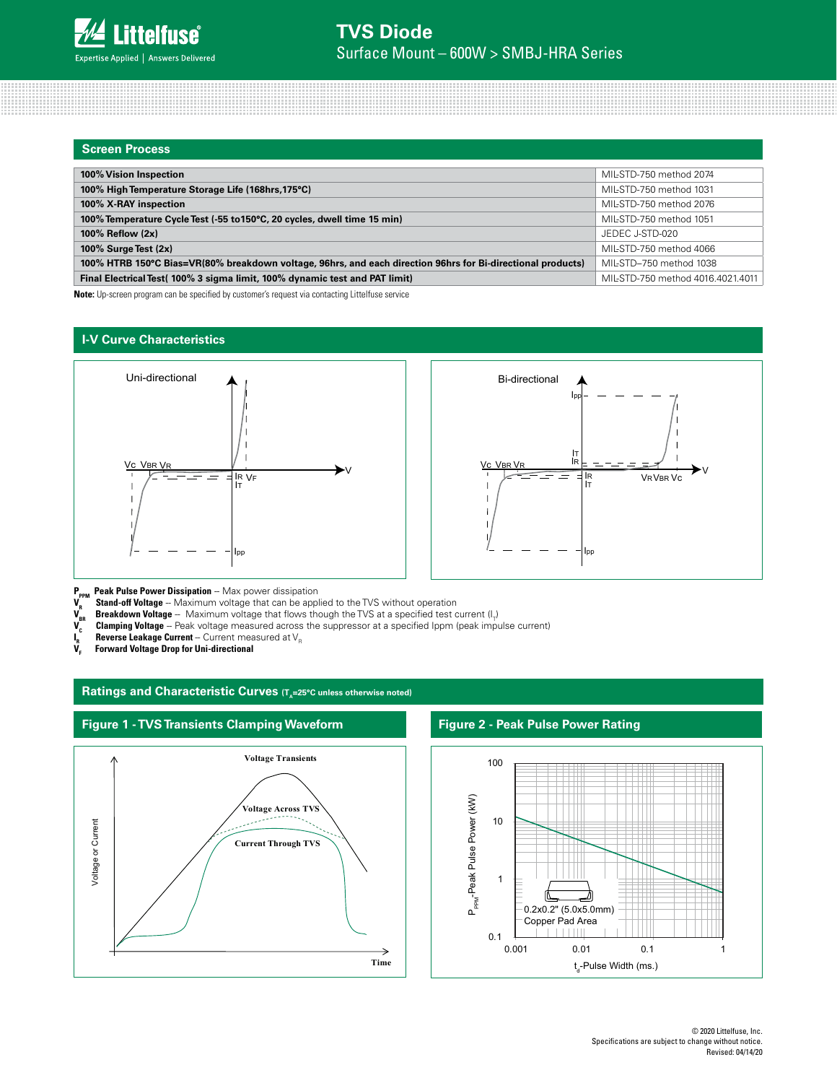| <b>Screen Process</b>                                                                                       |                                   |
|-------------------------------------------------------------------------------------------------------------|-----------------------------------|
|                                                                                                             |                                   |
| 100% Vision Inspection                                                                                      | MIL-STD-750 method 2074           |
| 100% High Temperature Storage Life (168hrs, 175°C)                                                          | MIL-STD-750 method 1031           |
| 100% X-RAY inspection                                                                                       | MIL-STD-750 method 2076           |
| 100% Temperature Cycle Test (-55 to 150°C, 20 cycles, dwell time 15 min)                                    | MIL-STD-750 method 1051           |
| 100% Reflow (2x)                                                                                            | JEDEC J-STD-020                   |
| 100% Surge Test $(2x)$                                                                                      | MIL-STD-750 method 4066           |
| 100% HTRB 150°C Bias=VR(80% breakdown voltage, 96hrs, and each direction 96hrs for Bi-directional products) | MIL-STD-750 method 1038           |
| Final Electrical Test (100% 3 sigma limit, 100% dynamic test and PAT limit)                                 | MIL-STD-750 method 4016.4021.4011 |

**Note:** Up-screen program can be specified by customer's request via contacting Littelfuse service

### **I-V Curve Characteristics**





**P<sub>PPM</sub>** Peak Pulse Power Dissipation -- Max power dissipation

**V<sub>R</sub>** Stand-off Voltage -- Maximum voltage that can be applied to the TVS without operation V<sub>BR</sub> Breakdown Voltage -- Maximum voltage that flows though the TVS at a specified test c<br>V<sub>C</sub> Clamping Voltage -- Peak voltage

 $\bm V_{_{\sf BR}}$  **Breakdown Voltage** -- Maximum voltage that flows though the TVS at a specified test current (I<sub>T</sub>)

**Clamping Voltage** -- Peak voltage measured across the suppressor at a specified Ippm (peak impulse current)

**Reverse Leakage Current** -- Current measured at V<sub>R</sub>

**I VF Forward Voltage Drop for Uni-directional**

### Ratings and Characteristic Curves (T<sub>A</sub>=25°C unless otherwise noted)



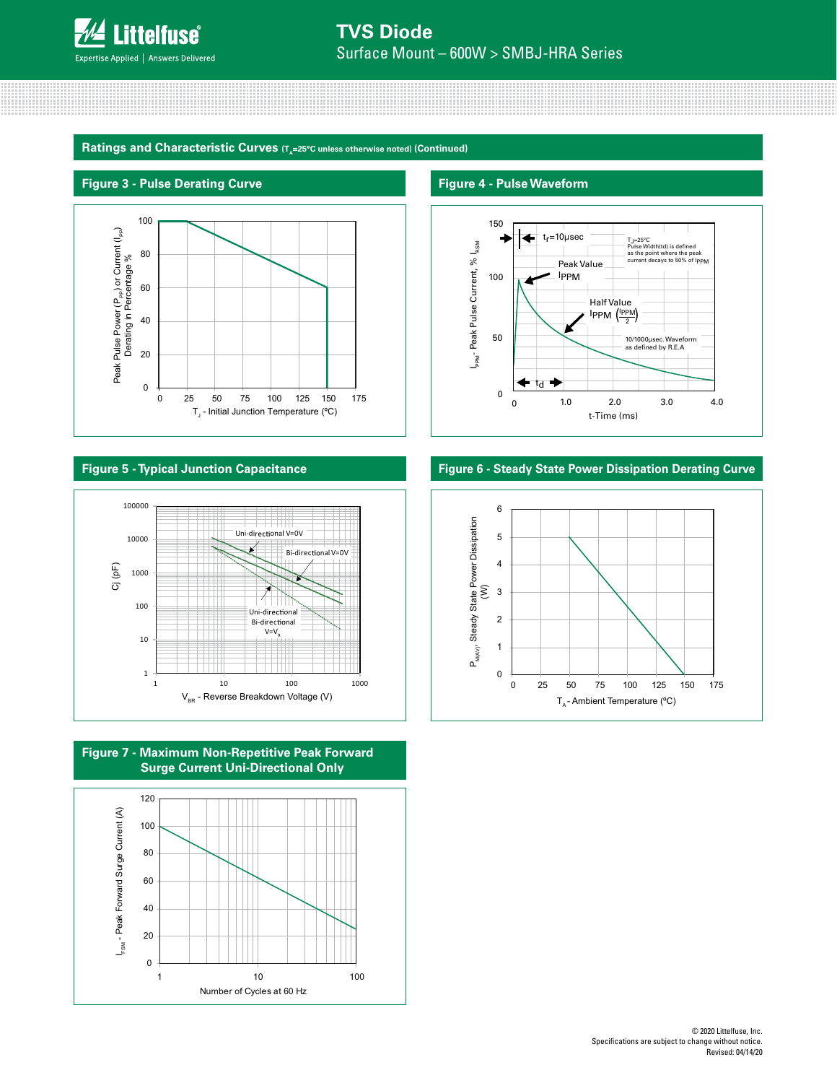

Ratings and Characteristic Curves (T<sub>a</sub>=25°C unless otherwise noted) (Continued)

# **Figure 3 - Pulse Derating Curve Figure 4 - Pulse Waveform**











# **Figure 5 - Typical Junction Capacitance Figure 6 - Steady State Power Dissipation Derating Curve**

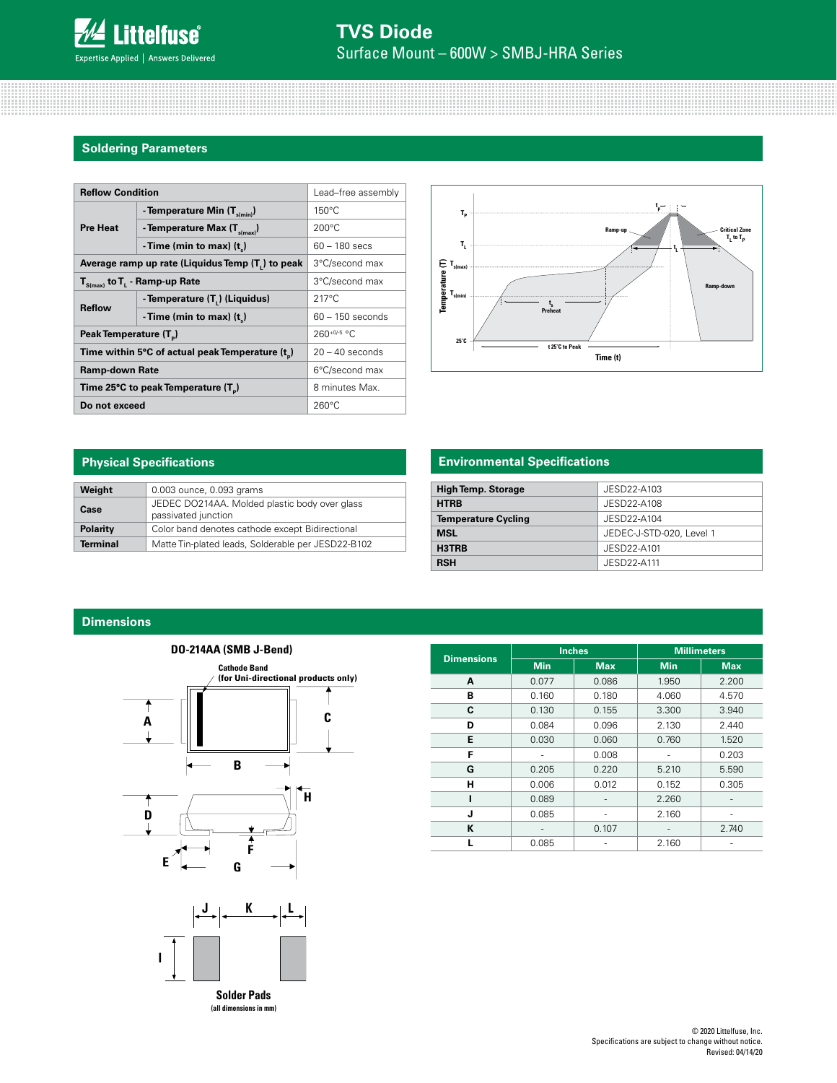### **Soldering Parameters**

| <b>Reflow Condition</b>                          | Lead-free assembly                   |                    |  |
|--------------------------------------------------|--------------------------------------|--------------------|--|
|                                                  | - Temperature Min $(T_{s(min)})$     | $150^{\circ}$ C    |  |
| <b>Pre Heat</b>                                  | - Temperature Max $(T_{\text{sum}})$ | $200^{\circ}$ C    |  |
|                                                  | -Time (min to max) $(tn)$            | $60 - 180$ secs    |  |
| Average ramp up rate (Liquidus Temp (T,) to peak | 3°C/second max                       |                    |  |
| $T_{S(max)}$ to $T_{L}$ - Ramp-up Rate           | 3°C/second max                       |                    |  |
| <b>Reflow</b>                                    | - Temperature (T,) (Liquidus)        | $217^{\circ}$ C    |  |
|                                                  | - Time (min to max) $(t_1)$          | $60 - 150$ seconds |  |
| Peak Temperature (T <sub>n</sub> )               |                                      | $260^{+0/5}$ °C    |  |
| Time within 5°C of actual peak Temperature (t)   | $20 - 40$ seconds                    |                    |  |
| <b>Ramp-down Rate</b>                            | 6°C/second max                       |                    |  |
| Time 25°C to peak Temperature (T <sub>a</sub> )  | 8 minutes Max.                       |                    |  |
| Do not exceed                                    | $260^{\circ}$ C                      |                    |  |



# **Physical Specifications**

| Weight          | 0.003 ounce, 0.093 grams                                             |
|-----------------|----------------------------------------------------------------------|
| Case            | JEDEC DO214AA. Molded plastic body over glass<br>passivated junction |
| <b>Polarity</b> | Color band denotes cathode except Bidirectional                      |
| <b>Terminal</b> | Matte Tin-plated leads, Solderable per JESD22-B102                   |

# **Environmental Specifications**

| <b>High Temp. Storage</b>  | JESD22-A103              |
|----------------------------|--------------------------|
| <b>HTRB</b>                | JESD22-A108              |
| <b>Temperature Cycling</b> | JESD22-A104              |
| <b>MSL</b>                 | JEDEC-J-STD-020, Level 1 |
| H3TRB                      | JESD22-A101              |
| <b>RSH</b>                 | JESD22-A111              |

# **Dimensions**



|                   |            | <b>Inches</b> | <b>Millimeters</b> |            |  |
|-------------------|------------|---------------|--------------------|------------|--|
| <b>Dimensions</b> | <b>Min</b> | <b>Max</b>    | <b>Min</b>         | <b>Max</b> |  |
| A                 | 0.077      | 0.086         | 1.950              | 2.200      |  |
| в                 | 0.160      | 0.180         | 4.060              | 4.570      |  |
| C                 | 0.130      | 0.155         | 3.300              | 3.940      |  |
| D<br>0.084        |            | 0.096         | 2.130              | 2.440      |  |
| E<br>0.030        |            | 0.060         | 0.760              | 1.520      |  |
| F                 |            | 0.008         |                    | 0.203      |  |
| G                 | 0.205      | 0.220         | 5.210              | 5.590      |  |
| н                 | 0.006      |               | 0.152              | 0.305      |  |
| ı                 | 0.089      |               | 2.260              |            |  |
| J                 | 0.085      |               | 2.160              |            |  |
| K                 |            | 0.107         |                    | 2.740      |  |
|                   | 0.085      |               | 2.160              |            |  |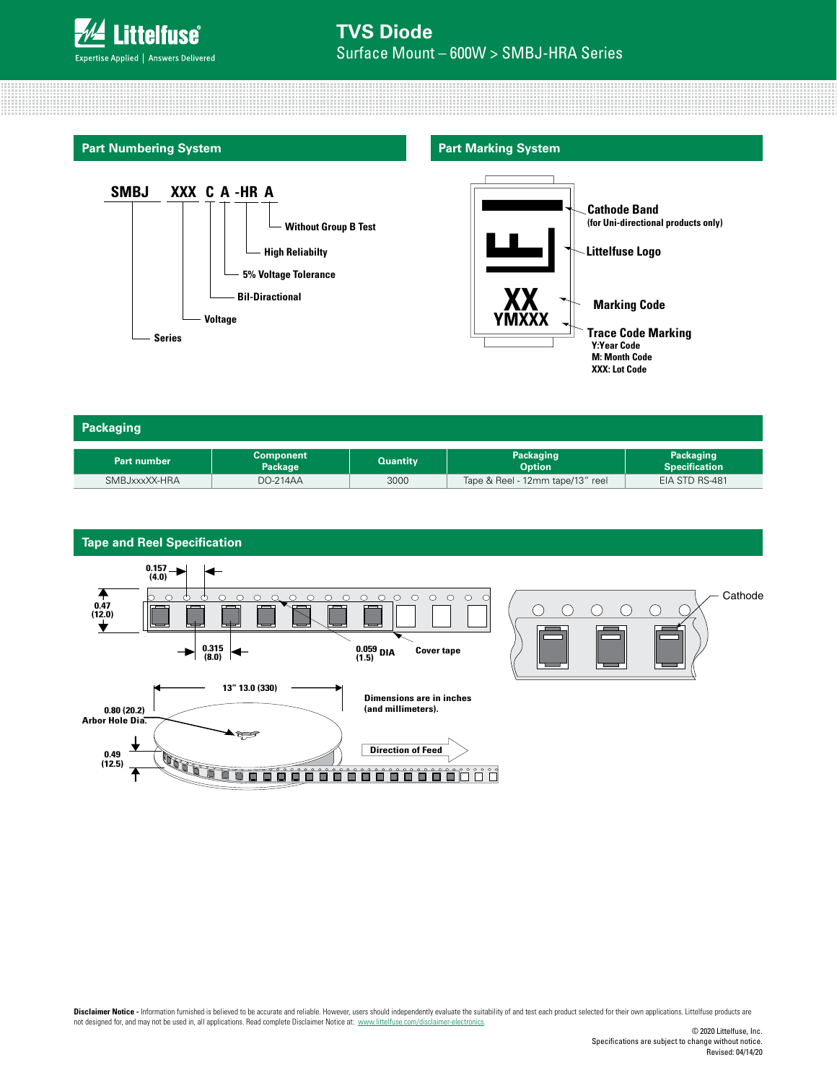

**Part Numbering System**



# **Part Marking System**



| Packaging     |                             |                 |                                  |                                   |
|---------------|-----------------------------|-----------------|----------------------------------|-----------------------------------|
| Part number   | <b>Component</b><br>Package | <b>Quantity</b> | Packaging<br><b>Option</b>       | Packaging<br><b>Specification</b> |
| SMBJxxxXX-HRA | DO-214AA                    | 3000            | Tape & Reel - 12mm tape/13" reel | EIA STD RS-481                    |



Disclaimer Notice - Information furnished is believed to be accurate and reliable. However, users should independently evaluate the suitability of and test each product selected for their own applications. Littelfuse produ not designed for, and may not be used in, all applications. Read complete Disclaimer Notice at: www.littelfuse.com/disclaimer-electronics.